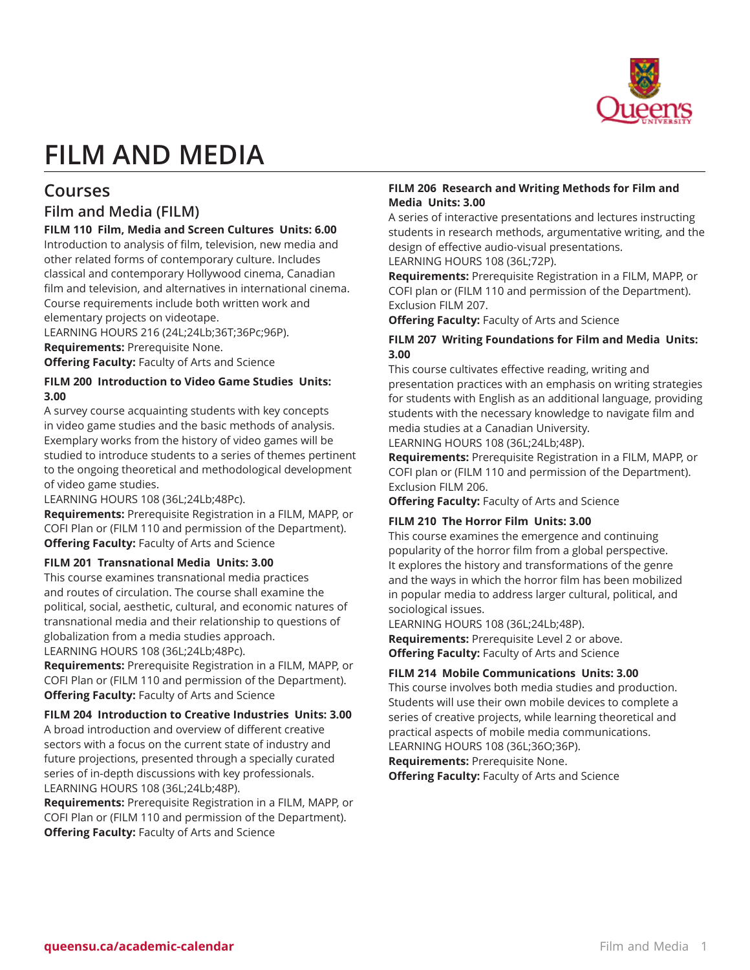

# **FILM AND MEDIA**

# **Courses**

## **Film and Media (FILM)**

**FILM 110 Film, Media and Screen Cultures Units: 6.00** Introduction to analysis of film, television, new media and other related forms of contemporary culture. Includes classical and contemporary Hollywood cinema, Canadian film and television, and alternatives in international cinema. Course requirements include both written work and elementary projects on videotape.

LEARNING HOURS 216 (24L;24Lb;36T;36Pc;96P). **Requirements:** Prerequisite None. **Offering Faculty:** Faculty of Arts and Science

## **FILM 200 Introduction to Video Game Studies Units: 3.00**

A survey course acquainting students with key concepts in video game studies and the basic methods of analysis. Exemplary works from the history of video games will be studied to introduce students to a series of themes pertinent to the ongoing theoretical and methodological development of video game studies.

LEARNING HOURS 108 (36L;24Lb;48Pc).

**Requirements:** Prerequisite Registration in a FILM, MAPP, or COFI Plan or (FILM 110 and permission of the Department). **Offering Faculty:** Faculty of Arts and Science

## **FILM 201 Transnational Media Units: 3.00**

This course examines transnational media practices and routes of circulation. The course shall examine the political, social, aesthetic, cultural, and economic natures of transnational media and their relationship to questions of globalization from a media studies approach.

LEARNING HOURS 108 (36L;24Lb;48Pc). **Requirements:** Prerequisite Registration in a FILM, MAPP, or

COFI Plan or (FILM 110 and permission of the Department). **Offering Faculty:** Faculty of Arts and Science

## **FILM 204 Introduction to Creative Industries Units: 3.00**

A broad introduction and overview of different creative sectors with a focus on the current state of industry and future projections, presented through a specially curated series of in-depth discussions with key professionals. LEARNING HOURS 108 (36L;24Lb;48P).

**Requirements:** Prerequisite Registration in a FILM, MAPP, or COFI Plan or (FILM 110 and permission of the Department). **Offering Faculty:** Faculty of Arts and Science

## **FILM 206 Research and Writing Methods for Film and Media Units: 3.00**

A series of interactive presentations and lectures instructing students in research methods, argumentative writing, and the design of effective audio-visual presentations.

LEARNING HOURS 108 (36L;72P).

**Requirements:** Prerequisite Registration in a FILM, MAPP, or COFI plan or (FILM 110 and permission of the Department). Exclusion FILM 207.

**Offering Faculty:** Faculty of Arts and Science

## **FILM 207 Writing Foundations for Film and Media Units: 3.00**

This course cultivates effective reading, writing and presentation practices with an emphasis on writing strategies for students with English as an additional language, providing students with the necessary knowledge to navigate film and media studies at a Canadian University.

LEARNING HOURS 108 (36L;24Lb;48P).

**Requirements:** Prerequisite Registration in a FILM, MAPP, or COFI plan or (FILM 110 and permission of the Department). Exclusion FILM 206.

**Offering Faculty:** Faculty of Arts and Science

#### **FILM 210 The Horror Film Units: 3.00**

This course examines the emergence and continuing popularity of the horror film from a global perspective. It explores the history and transformations of the genre and the ways in which the horror film has been mobilized in popular media to address larger cultural, political, and sociological issues.

LEARNING HOURS 108 (36L;24Lb;48P). **Requirements:** Prerequisite Level 2 or above. **Offering Faculty:** Faculty of Arts and Science

## **FILM 214 Mobile Communications Units: 3.00**

This course involves both media studies and production. Students will use their own mobile devices to complete a series of creative projects, while learning theoretical and practical aspects of mobile media communications. LEARNING HOURS 108 (36L;36O;36P).

**Requirements:** Prerequisite None.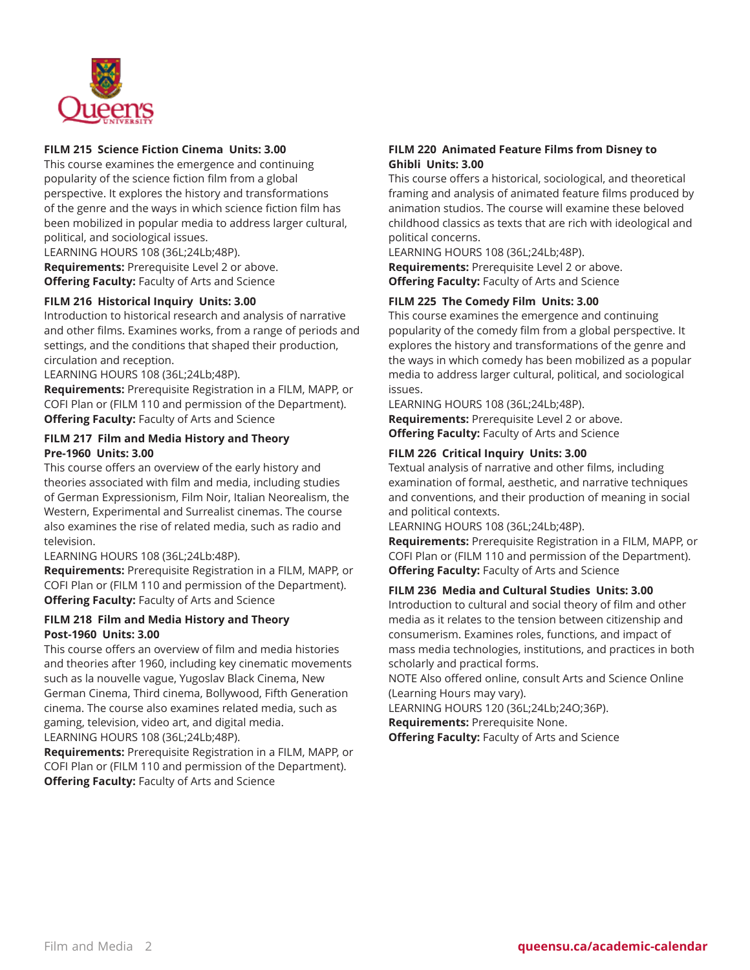

#### **FILM 215 Science Fiction Cinema Units: 3.00**

This course examines the emergence and continuing popularity of the science fiction film from a global perspective. It explores the history and transformations of the genre and the ways in which science fiction film has been mobilized in popular media to address larger cultural, political, and sociological issues.

LEARNING HOURS 108 (36L;24Lb;48P). **Requirements:** Prerequisite Level 2 or above. **Offering Faculty:** Faculty of Arts and Science

## **FILM 216 Historical Inquiry Units: 3.00**

Introduction to historical research and analysis of narrative and other films. Examines works, from a range of periods and settings, and the conditions that shaped their production, circulation and reception.

LEARNING HOURS 108 (36L;24Lb;48P).

**Requirements:** Prerequisite Registration in a FILM, MAPP, or COFI Plan or (FILM 110 and permission of the Department). **Offering Faculty:** Faculty of Arts and Science

#### **FILM 217 Film and Media History and Theory Pre-1960 Units: 3.00**

This course offers an overview of the early history and theories associated with film and media, including studies of German Expressionism, Film Noir, Italian Neorealism, the Western, Experimental and Surrealist cinemas. The course also examines the rise of related media, such as radio and television.

LEARNING HOURS 108 (36L;24Lb:48P).

**Requirements:** Prerequisite Registration in a FILM, MAPP, or COFI Plan or (FILM 110 and permission of the Department). **Offering Faculty:** Faculty of Arts and Science

#### **FILM 218 Film and Media History and Theory Post-1960 Units: 3.00**

This course offers an overview of film and media histories and theories after 1960, including key cinematic movements such as la nouvelle vague, Yugoslav Black Cinema, New German Cinema, Third cinema, Bollywood, Fifth Generation cinema. The course also examines related media, such as gaming, television, video art, and digital media. LEARNING HOURS 108 (36L;24Lb;48P).

**Requirements:** Prerequisite Registration in a FILM, MAPP, or COFI Plan or (FILM 110 and permission of the Department). **Offering Faculty:** Faculty of Arts and Science

## **FILM 220 Animated Feature Films from Disney to Ghibli Units: 3.00**

This course offers a historical, sociological, and theoretical framing and analysis of animated feature films produced by animation studios. The course will examine these beloved childhood classics as texts that are rich with ideological and political concerns.

LEARNING HOURS 108 (36L;24Lb;48P). **Requirements:** Prerequisite Level 2 or above. **Offering Faculty:** Faculty of Arts and Science

## **FILM 225 The Comedy Film Units: 3.00**

This course examines the emergence and continuing popularity of the comedy film from a global perspective. It explores the history and transformations of the genre and the ways in which comedy has been mobilized as a popular media to address larger cultural, political, and sociological issues.

LEARNING HOURS 108 (36L;24Lb;48P). **Requirements:** Prerequisite Level 2 or above. **Offering Faculty:** Faculty of Arts and Science

## **FILM 226 Critical Inquiry Units: 3.00**

Textual analysis of narrative and other films, including examination of formal, aesthetic, and narrative techniques and conventions, and their production of meaning in social and political contexts.

LEARNING HOURS 108 (36L;24Lb;48P).

**Requirements:** Prerequisite Registration in a FILM, MAPP, or COFI Plan or (FILM 110 and permission of the Department). **Offering Faculty:** Faculty of Arts and Science

#### **FILM 236 Media and Cultural Studies Units: 3.00**

Introduction to cultural and social theory of film and other media as it relates to the tension between citizenship and consumerism. Examines roles, functions, and impact of mass media technologies, institutions, and practices in both scholarly and practical forms.

NOTE Also offered online, consult Arts and Science Online (Learning Hours may vary).

LEARNING HOURS 120 (36L;24Lb;24O;36P).

**Requirements:** Prerequisite None. **Offering Faculty:** Faculty of Arts and Science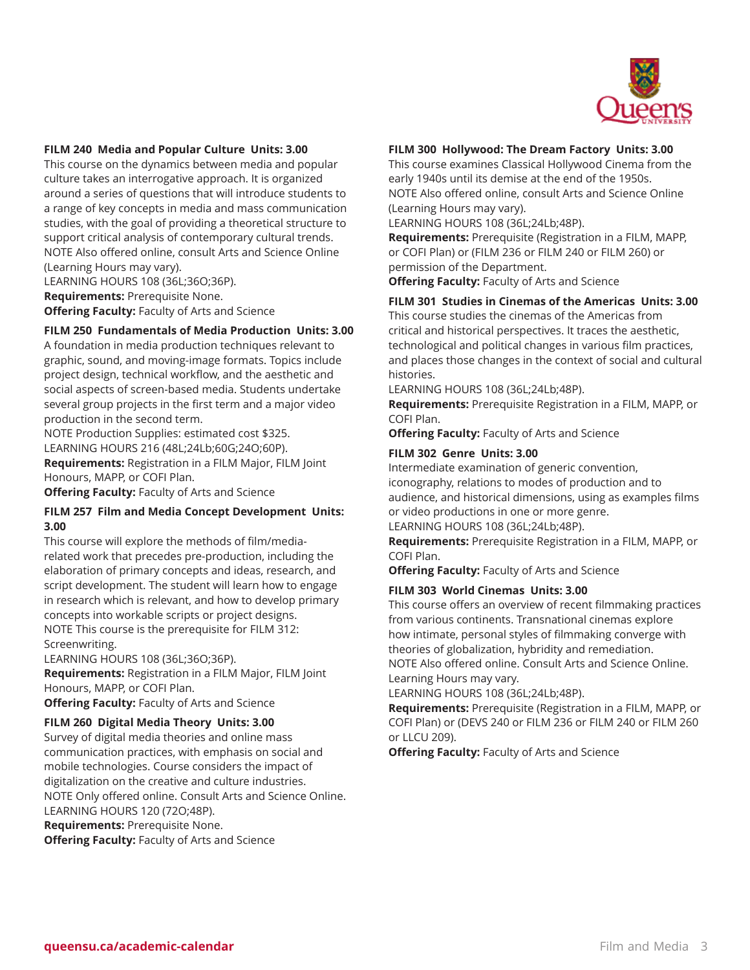

#### **FILM 240 Media and Popular Culture Units: 3.00**

This course on the dynamics between media and popular culture takes an interrogative approach. It is organized around a series of questions that will introduce students to a range of key concepts in media and mass communication studies, with the goal of providing a theoretical structure to support critical analysis of contemporary cultural trends. NOTE Also offered online, consult Arts and Science Online (Learning Hours may vary).

LEARNING HOURS 108 (36L;36O;36P).

**Requirements:** Prerequisite None.

**Offering Faculty:** Faculty of Arts and Science

#### **FILM 250 Fundamentals of Media Production Units: 3.00**

A foundation in media production techniques relevant to graphic, sound, and moving-image formats. Topics include project design, technical workflow, and the aesthetic and social aspects of screen-based media. Students undertake several group projects in the first term and a major video production in the second term.

NOTE Production Supplies: estimated cost \$325. LEARNING HOURS 216 (48L;24Lb;60G;24O;60P).

**Requirements:** Registration in a FILM Major, FILM Joint Honours, MAPP, or COFI Plan.

**Offering Faculty:** Faculty of Arts and Science

#### **FILM 257 Film and Media Concept Development Units: 3.00**

This course will explore the methods of film/mediarelated work that precedes pre-production, including the elaboration of primary concepts and ideas, research, and script development. The student will learn how to engage in research which is relevant, and how to develop primary concepts into workable scripts or project designs. NOTE This course is the prerequisite for FILM 312: Screenwriting.

LEARNING HOURS 108 (36L;36O;36P).

**Requirements:** Registration in a FILM Major, FILM Joint Honours, MAPP, or COFI Plan.

**Offering Faculty:** Faculty of Arts and Science

## **FILM 260 Digital Media Theory Units: 3.00**

Survey of digital media theories and online mass communication practices, with emphasis on social and mobile technologies. Course considers the impact of digitalization on the creative and culture industries. NOTE Only offered online. Consult Arts and Science Online. LEARNING HOURS 120 (72O;48P).

**Requirements:** Prerequisite None. **Offering Faculty:** Faculty of Arts and Science

#### **FILM 300 Hollywood: The Dream Factory Units: 3.00**

This course examines Classical Hollywood Cinema from the early 1940s until its demise at the end of the 1950s. NOTE Also offered online, consult Arts and Science Online (Learning Hours may vary).

LEARNING HOURS 108 (36L;24Lb;48P).

**Requirements:** Prerequisite (Registration in a FILM, MAPP, or COFI Plan) or (FILM 236 or FILM 240 or FILM 260) or permission of the Department.

**Offering Faculty:** Faculty of Arts and Science

#### **FILM 301 Studies in Cinemas of the Americas Units: 3.00**

This course studies the cinemas of the Americas from critical and historical perspectives. It traces the aesthetic, technological and political changes in various film practices, and places those changes in the context of social and cultural histories.

LEARNING HOURS 108 (36L;24Lb;48P).

**Requirements:** Prerequisite Registration in a FILM, MAPP, or COFI Plan.

**Offering Faculty:** Faculty of Arts and Science

#### **FILM 302 Genre Units: 3.00**

Intermediate examination of generic convention, iconography, relations to modes of production and to audience, and historical dimensions, using as examples films or video productions in one or more genre.

LEARNING HOURS 108 (36L;24Lb;48P).

**Requirements:** Prerequisite Registration in a FILM, MAPP, or COFI Plan.

**Offering Faculty:** Faculty of Arts and Science

#### **FILM 303 World Cinemas Units: 3.00**

This course offers an overview of recent filmmaking practices from various continents. Transnational cinemas explore how intimate, personal styles of filmmaking converge with theories of globalization, hybridity and remediation. NOTE Also offered online. Consult Arts and Science Online. Learning Hours may vary.

LEARNING HOURS 108 (36L;24Lb;48P).

**Requirements:** Prerequisite (Registration in a FILM, MAPP, or COFI Plan) or (DEVS 240 or FILM 236 or FILM 240 or FILM 260 or LLCU 209).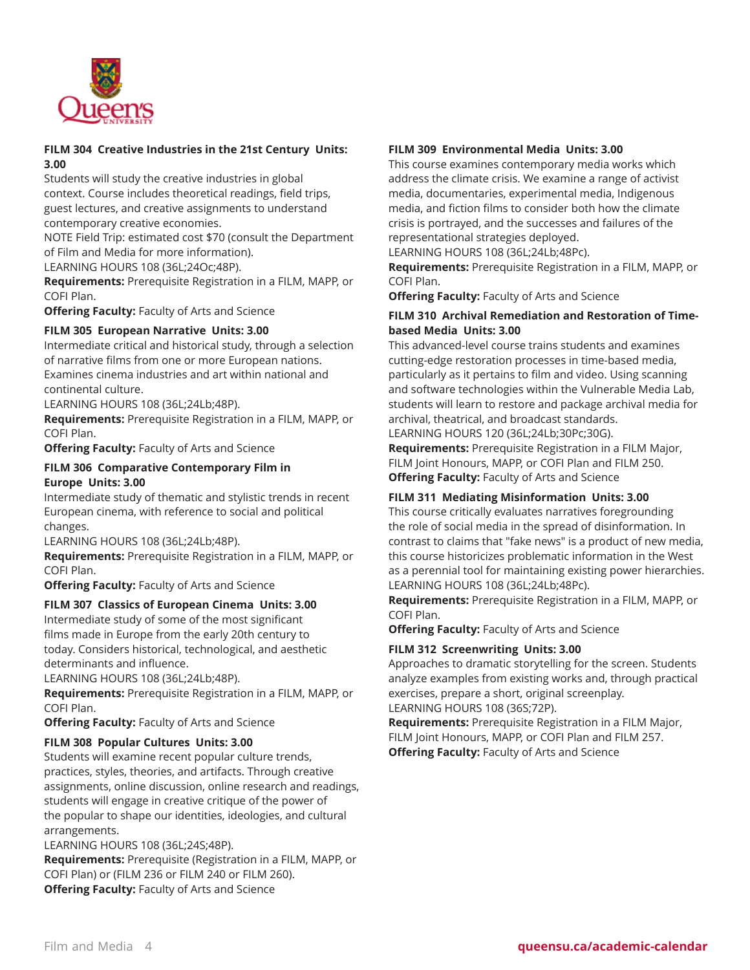

## **FILM 304 Creative Industries in the 21st Century Units: 3.00**

Students will study the creative industries in global context. Course includes theoretical readings, field trips, guest lectures, and creative assignments to understand contemporary creative economies.

NOTE Field Trip: estimated cost \$70 (consult the Department of Film and Media for more information).

LEARNING HOURS 108 (36L;24Oc;48P).

**Requirements:** Prerequisite Registration in a FILM, MAPP, or COFI Plan.

**Offering Faculty:** Faculty of Arts and Science

## **FILM 305 European Narrative Units: 3.00**

Intermediate critical and historical study, through a selection of narrative films from one or more European nations. Examines cinema industries and art within national and continental culture.

LEARNING HOURS 108 (36L;24Lb;48P).

**Requirements:** Prerequisite Registration in a FILM, MAPP, or COFI Plan.

**Offering Faculty:** Faculty of Arts and Science

## **FILM 306 Comparative Contemporary Film in Europe Units: 3.00**

Intermediate study of thematic and stylistic trends in recent European cinema, with reference to social and political changes.

LEARNING HOURS 108 (36L;24Lb;48P).

**Requirements:** Prerequisite Registration in a FILM, MAPP, or COFI Plan.

**Offering Faculty:** Faculty of Arts and Science

#### **FILM 307 Classics of European Cinema Units: 3.00**

Intermediate study of some of the most significant films made in Europe from the early 20th century to today. Considers historical, technological, and aesthetic determinants and influence.

LEARNING HOURS 108 (36L;24Lb;48P).

**Requirements:** Prerequisite Registration in a FILM, MAPP, or COFI Plan.

**Offering Faculty:** Faculty of Arts and Science

#### **FILM 308 Popular Cultures Units: 3.00**

Students will examine recent popular culture trends, practices, styles, theories, and artifacts. Through creative assignments, online discussion, online research and readings, students will engage in creative critique of the power of the popular to shape our identities, ideologies, and cultural arrangements.

LEARNING HOURS 108 (36L;24S;48P).

**Requirements:** Prerequisite (Registration in a FILM, MAPP, or COFI Plan) or (FILM 236 or FILM 240 or FILM 260). **Offering Faculty:** Faculty of Arts and Science

## **FILM 309 Environmental Media Units: 3.00**

This course examines contemporary media works which address the climate crisis. We examine a range of activist media, documentaries, experimental media, Indigenous media, and fiction films to consider both how the climate crisis is portrayed, and the successes and failures of the representational strategies deployed.

LEARNING HOURS 108 (36L;24Lb;48Pc).

**Requirements:** Prerequisite Registration in a FILM, MAPP, or COFI Plan.

**Offering Faculty:** Faculty of Arts and Science

## **FILM 310 Archival Remediation and Restoration of Timebased Media Units: 3.00**

This advanced-level course trains students and examines cutting-edge restoration processes in time-based media, particularly as it pertains to film and video. Using scanning and software technologies within the Vulnerable Media Lab, students will learn to restore and package archival media for archival, theatrical, and broadcast standards.

LEARNING HOURS 120 (36L;24Lb;30Pc;30G).

**Requirements:** Prerequisite Registration in a FILM Major, FILM Joint Honours, MAPP, or COFI Plan and FILM 250. **Offering Faculty:** Faculty of Arts and Science

## **FILM 311 Mediating Misinformation Units: 3.00**

This course critically evaluates narratives foregrounding the role of social media in the spread of disinformation. In contrast to claims that "fake news" is a product of new media, this course historicizes problematic information in the West as a perennial tool for maintaining existing power hierarchies. LEARNING HOURS 108 (36L;24Lb;48Pc).

**Requirements:** Prerequisite Registration in a FILM, MAPP, or COFI Plan.

**Offering Faculty:** Faculty of Arts and Science

#### **FILM 312 Screenwriting Units: 3.00**

Approaches to dramatic storytelling for the screen. Students analyze examples from existing works and, through practical exercises, prepare a short, original screenplay. LEARNING HOURS 108 (36S;72P).

**Requirements:** Prerequisite Registration in a FILM Major, FILM Joint Honours, MAPP, or COFI Plan and FILM 257. **Offering Faculty:** Faculty of Arts and Science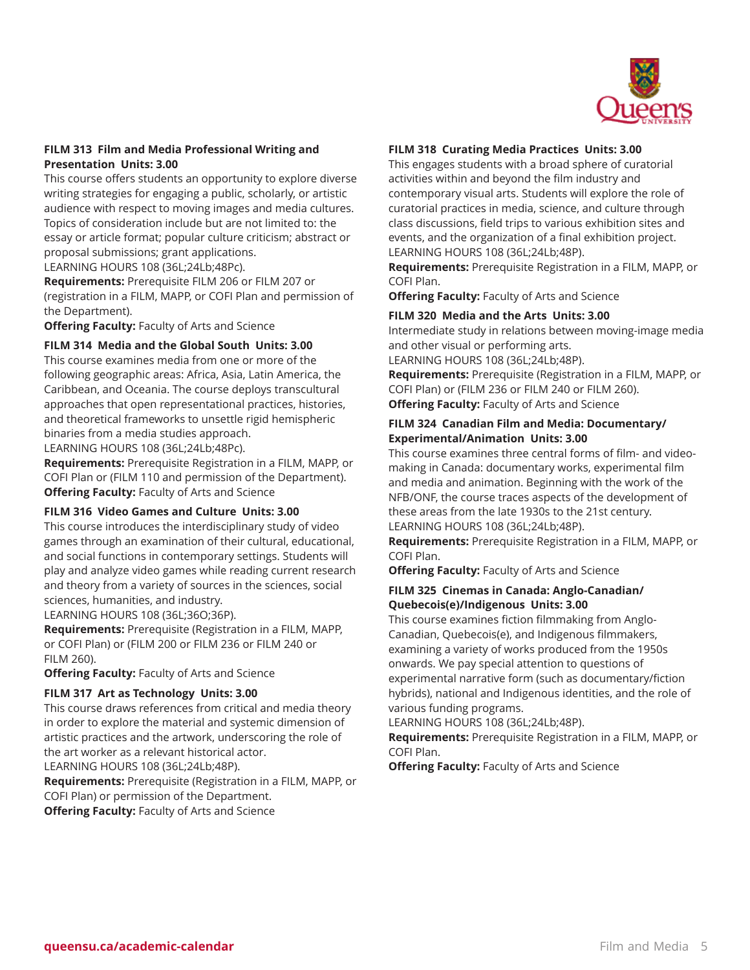

#### **FILM 313 Film and Media Professional Writing and Presentation Units: 3.00**

This course offers students an opportunity to explore diverse writing strategies for engaging a public, scholarly, or artistic audience with respect to moving images and media cultures. Topics of consideration include but are not limited to: the essay or article format; popular culture criticism; abstract or proposal submissions; grant applications.

LEARNING HOURS 108 (36L;24Lb;48Pc).

**Requirements:** Prerequisite FILM 206 or FILM 207 or (registration in a FILM, MAPP, or COFI Plan and permission of the Department).

**Offering Faculty:** Faculty of Arts and Science

**FILM 314 Media and the Global South Units: 3.00**

This course examines media from one or more of the following geographic areas: Africa, Asia, Latin America, the Caribbean, and Oceania. The course deploys transcultural approaches that open representational practices, histories, and theoretical frameworks to unsettle rigid hemispheric binaries from a media studies approach.

LEARNING HOURS 108 (36L;24Lb;48Pc).

**Requirements:** Prerequisite Registration in a FILM, MAPP, or COFI Plan or (FILM 110 and permission of the Department). **Offering Faculty:** Faculty of Arts and Science

#### **FILM 316 Video Games and Culture Units: 3.00**

This course introduces the interdisciplinary study of video games through an examination of their cultural, educational, and social functions in contemporary settings. Students will play and analyze video games while reading current research and theory from a variety of sources in the sciences, social sciences, humanities, and industry.

LEARNING HOURS 108 (36L;36O;36P).

**Requirements:** Prerequisite (Registration in a FILM, MAPP, or COFI Plan) or (FILM 200 or FILM 236 or FILM 240 or FILM 260).

**Offering Faculty:** Faculty of Arts and Science

#### **FILM 317 Art as Technology Units: 3.00**

This course draws references from critical and media theory in order to explore the material and systemic dimension of artistic practices and the artwork, underscoring the role of the art worker as a relevant historical actor. LEARNING HOURS 108 (36L;24Lb;48P).

**Requirements:** Prerequisite (Registration in a FILM, MAPP, or COFI Plan) or permission of the Department. **Offering Faculty:** Faculty of Arts and Science

#### **FILM 318 Curating Media Practices Units: 3.00**

This engages students with a broad sphere of curatorial activities within and beyond the film industry and contemporary visual arts. Students will explore the role of curatorial practices in media, science, and culture through class discussions, field trips to various exhibition sites and events, and the organization of a final exhibition project. LEARNING HOURS 108 (36L;24Lb;48P).

**Requirements:** Prerequisite Registration in a FILM, MAPP, or COFI Plan.

**Offering Faculty:** Faculty of Arts and Science

#### **FILM 320 Media and the Arts Units: 3.00**

Intermediate study in relations between moving-image media and other visual or performing arts.

LEARNING HOURS 108 (36L;24Lb;48P).

**Requirements:** Prerequisite (Registration in a FILM, MAPP, or COFI Plan) or (FILM 236 or FILM 240 or FILM 260). **Offering Faculty:** Faculty of Arts and Science

## **FILM 324 Canadian Film and Media: Documentary/ Experimental/Animation Units: 3.00**

This course examines three central forms of film- and videomaking in Canada: documentary works, experimental film and media and animation. Beginning with the work of the NFB/ONF, the course traces aspects of the development of these areas from the late 1930s to the 21st century. LEARNING HOURS 108 (36L;24Lb;48P).

**Requirements:** Prerequisite Registration in a FILM, MAPP, or COFI Plan.

**Offering Faculty:** Faculty of Arts and Science

#### **FILM 325 Cinemas in Canada: Anglo-Canadian/ Quebecois(e)/Indigenous Units: 3.00**

This course examines fiction filmmaking from Anglo-Canadian, Quebecois(e), and Indigenous filmmakers, examining a variety of works produced from the 1950s onwards. We pay special attention to questions of experimental narrative form (such as documentary/fiction hybrids), national and Indigenous identities, and the role of various funding programs.

LEARNING HOURS 108 (36L;24Lb;48P).

**Requirements:** Prerequisite Registration in a FILM, MAPP, or COFI Plan.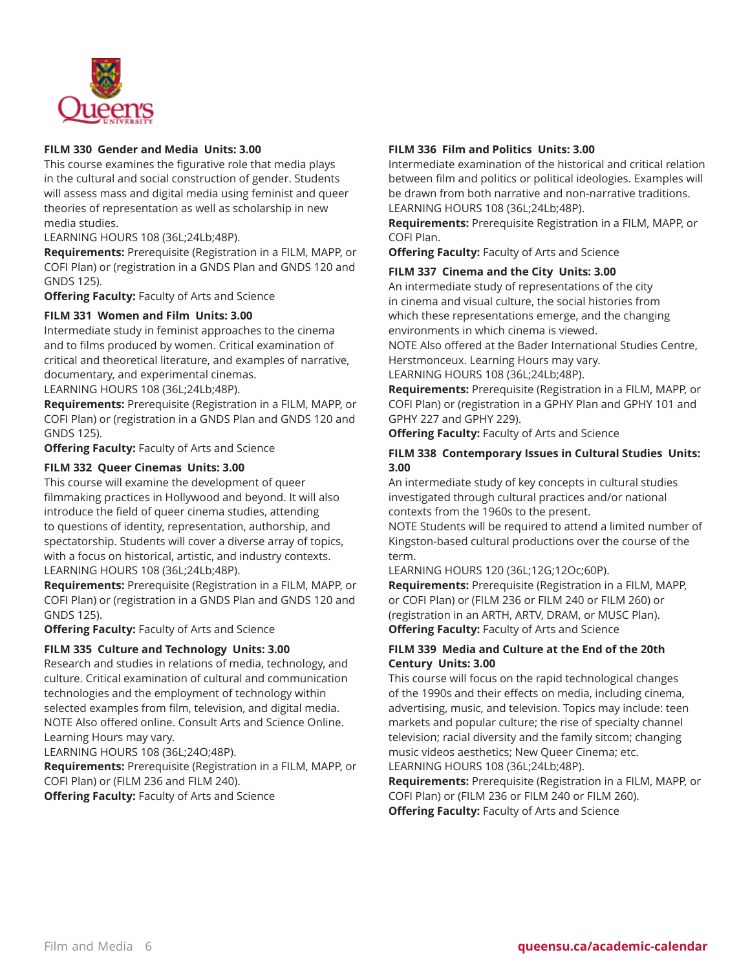

## **FILM 330 Gender and Media Units: 3.00**

This course examines the figurative role that media plays in the cultural and social construction of gender. Students will assess mass and digital media using feminist and queer theories of representation as well as scholarship in new media studies.

LEARNING HOURS 108 (36L;24Lb;48P).

**Requirements:** Prerequisite (Registration in a FILM, MAPP, or COFI Plan) or (registration in a GNDS Plan and GNDS 120 and GNDS 125).

**Offering Faculty:** Faculty of Arts and Science

## **FILM 331 Women and Film Units: 3.00**

Intermediate study in feminist approaches to the cinema and to films produced by women. Critical examination of critical and theoretical literature, and examples of narrative, documentary, and experimental cinemas.

LEARNING HOURS 108 (36L;24Lb;48P).

**Requirements:** Prerequisite (Registration in a FILM, MAPP, or COFI Plan) or (registration in a GNDS Plan and GNDS 120 and GNDS 125).

**Offering Faculty:** Faculty of Arts and Science

#### **FILM 332 Queer Cinemas Units: 3.00**

This course will examine the development of queer filmmaking practices in Hollywood and beyond. It will also introduce the field of queer cinema studies, attending to questions of identity, representation, authorship, and spectatorship. Students will cover a diverse array of topics, with a focus on historical, artistic, and industry contexts. LEARNING HOURS 108 (36L;24Lb;48P).

**Requirements:** Prerequisite (Registration in a FILM, MAPP, or COFI Plan) or (registration in a GNDS Plan and GNDS 120 and GNDS 125).

**Offering Faculty:** Faculty of Arts and Science

#### **FILM 335 Culture and Technology Units: 3.00**

Research and studies in relations of media, technology, and culture. Critical examination of cultural and communication technologies and the employment of technology within selected examples from film, television, and digital media. NOTE Also offered online. Consult Arts and Science Online. Learning Hours may vary.

LEARNING HOURS 108 (36L;24O;48P).

**Requirements:** Prerequisite (Registration in a FILM, MAPP, or COFI Plan) or (FILM 236 and FILM 240). **Offering Faculty:** Faculty of Arts and Science

#### **FILM 336 Film and Politics Units: 3.00**

Intermediate examination of the historical and critical relation between film and politics or political ideologies. Examples will be drawn from both narrative and non-narrative traditions. LEARNING HOURS 108 (36L;24Lb;48P).

**Requirements:** Prerequisite Registration in a FILM, MAPP, or COFI Plan.

**Offering Faculty:** Faculty of Arts and Science

#### **FILM 337 Cinema and the City Units: 3.00**

An intermediate study of representations of the city in cinema and visual culture, the social histories from which these representations emerge, and the changing environments in which cinema is viewed.

NOTE Also offered at the Bader International Studies Centre, Herstmonceux. Learning Hours may vary.

LEARNING HOURS 108 (36L;24Lb;48P).

**Requirements:** Prerequisite (Registration in a FILM, MAPP, or COFI Plan) or (registration in a GPHY Plan and GPHY 101 and GPHY 227 and GPHY 229).

**Offering Faculty:** Faculty of Arts and Science

#### **FILM 338 Contemporary Issues in Cultural Studies Units: 3.00**

An intermediate study of key concepts in cultural studies investigated through cultural practices and/or national contexts from the 1960s to the present.

NOTE Students will be required to attend a limited number of Kingston-based cultural productions over the course of the term.

LEARNING HOURS 120 (36L;12G;12Oc;60P).

**Requirements:** Prerequisite (Registration in a FILM, MAPP, or COFI Plan) or (FILM 236 or FILM 240 or FILM 260) or (registration in an ARTH, ARTV, DRAM, or MUSC Plan). **Offering Faculty:** Faculty of Arts and Science

#### **FILM 339 Media and Culture at the End of the 20th Century Units: 3.00**

This course will focus on the rapid technological changes of the 1990s and their effects on media, including cinema, advertising, music, and television. Topics may include: teen markets and popular culture; the rise of specialty channel television; racial diversity and the family sitcom; changing music videos aesthetics; New Queer Cinema; etc. LEARNING HOURS 108 (36L;24Lb;48P).

**Requirements:** Prerequisite (Registration in a FILM, MAPP, or COFI Plan) or (FILM 236 or FILM 240 or FILM 260). **Offering Faculty:** Faculty of Arts and Science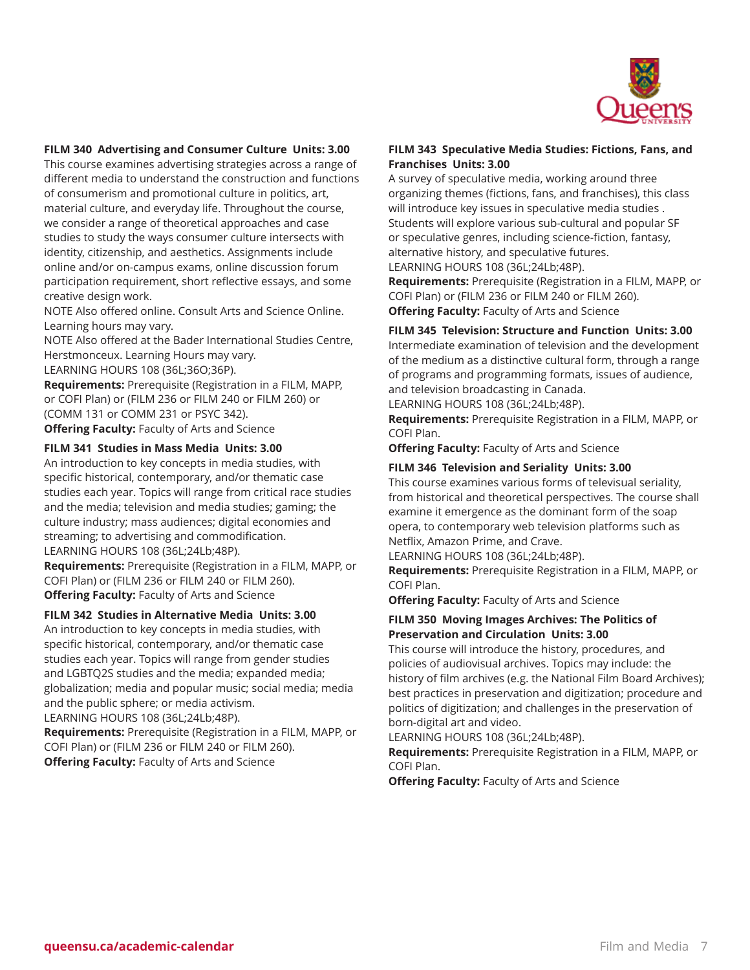

## **FILM 340 Advertising and Consumer Culture Units: 3.00**

This course examines advertising strategies across a range of different media to understand the construction and functions of consumerism and promotional culture in politics, art, material culture, and everyday life. Throughout the course, we consider a range of theoretical approaches and case studies to study the ways consumer culture intersects with identity, citizenship, and aesthetics. Assignments include online and/or on-campus exams, online discussion forum participation requirement, short reflective essays, and some creative design work.

NOTE Also offered online. Consult Arts and Science Online. Learning hours may vary.

NOTE Also offered at the Bader International Studies Centre, Herstmonceux. Learning Hours may vary.

LEARNING HOURS 108 (36L;36O;36P).

**Requirements:** Prerequisite (Registration in a FILM, MAPP, or COFI Plan) or (FILM 236 or FILM 240 or FILM 260) or (COMM 131 or COMM 231 or PSYC 342). **Offering Faculty:** Faculty of Arts and Science

#### **FILM 341 Studies in Mass Media Units: 3.00**

An introduction to key concepts in media studies, with specific historical, contemporary, and/or thematic case studies each year. Topics will range from critical race studies and the media; television and media studies; gaming; the culture industry; mass audiences; digital economies and streaming; to advertising and commodification. LEARNING HOURS 108 (36L;24Lb;48P).

**Requirements:** Prerequisite (Registration in a FILM, MAPP, or COFI Plan) or (FILM 236 or FILM 240 or FILM 260). **Offering Faculty:** Faculty of Arts and Science

#### **FILM 342 Studies in Alternative Media Units: 3.00**

An introduction to key concepts in media studies, with specific historical, contemporary, and/or thematic case studies each year. Topics will range from gender studies and LGBTQ2S studies and the media; expanded media; globalization; media and popular music; social media; media and the public sphere; or media activism.

LEARNING HOURS 108 (36L;24Lb;48P).

**Requirements:** Prerequisite (Registration in a FILM, MAPP, or COFI Plan) or (FILM 236 or FILM 240 or FILM 260). **Offering Faculty:** Faculty of Arts and Science

#### **FILM 343 Speculative Media Studies: Fictions, Fans, and Franchises Units: 3.00**

A survey of speculative media, working around three organizing themes (fictions, fans, and franchises), this class will introduce key issues in speculative media studies . Students will explore various sub-cultural and popular SF or speculative genres, including science-fiction, fantasy, alternative history, and speculative futures.

LEARNING HOURS 108 (36L;24Lb;48P).

**Requirements:** Prerequisite (Registration in a FILM, MAPP, or COFI Plan) or (FILM 236 or FILM 240 or FILM 260). **Offering Faculty:** Faculty of Arts and Science

#### **FILM 345 Television: Structure and Function Units: 3.00**

Intermediate examination of television and the development of the medium as a distinctive cultural form, through a range of programs and programming formats, issues of audience, and television broadcasting in Canada.

LEARNING HOURS 108 (36L;24Lb;48P).

**Requirements:** Prerequisite Registration in a FILM, MAPP, or COFI Plan.

**Offering Faculty:** Faculty of Arts and Science

#### **FILM 346 Television and Seriality Units: 3.00**

This course examines various forms of televisual seriality, from historical and theoretical perspectives. The course shall examine it emergence as the dominant form of the soap opera, to contemporary web television platforms such as Netflix, Amazon Prime, and Crave.

LEARNING HOURS 108 (36L;24Lb;48P).

**Requirements:** Prerequisite Registration in a FILM, MAPP, or COFI Plan.

**Offering Faculty:** Faculty of Arts and Science

#### **FILM 350 Moving Images Archives: The Politics of Preservation and Circulation Units: 3.00**

This course will introduce the history, procedures, and policies of audiovisual archives. Topics may include: the history of film archives (e.g. the National Film Board Archives); best practices in preservation and digitization; procedure and politics of digitization; and challenges in the preservation of born-digital art and video.

LEARNING HOURS 108 (36L;24Lb;48P).

**Requirements:** Prerequisite Registration in a FILM, MAPP, or COFI Plan.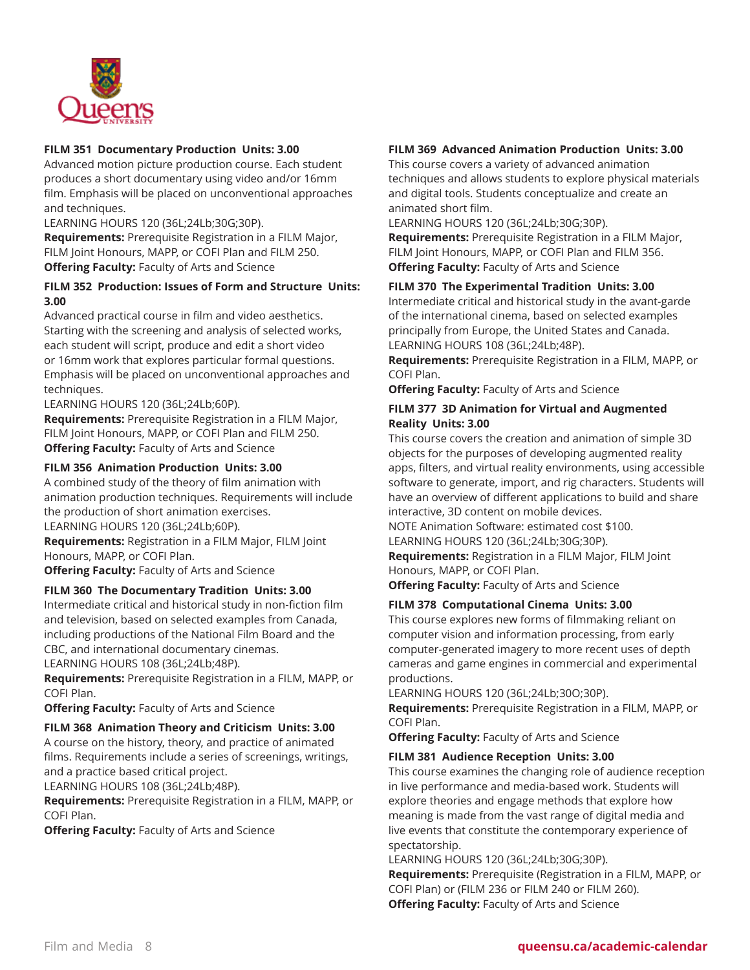

## **FILM 351 Documentary Production Units: 3.00**

Advanced motion picture production course. Each student produces a short documentary using video and/or 16mm film. Emphasis will be placed on unconventional approaches and techniques.

LEARNING HOURS 120 (36L;24Lb;30G;30P).

**Requirements:** Prerequisite Registration in a FILM Major, FILM Joint Honours, MAPP, or COFI Plan and FILM 250. **Offering Faculty:** Faculty of Arts and Science

## **FILM 352 Production: Issues of Form and Structure Units: 3.00**

Advanced practical course in film and video aesthetics. Starting with the screening and analysis of selected works, each student will script, produce and edit a short video or 16mm work that explores particular formal questions. Emphasis will be placed on unconventional approaches and techniques.

LEARNING HOURS 120 (36L;24Lb;60P).

**Requirements:** Prerequisite Registration in a FILM Major, FILM Joint Honours, MAPP, or COFI Plan and FILM 250. **Offering Faculty:** Faculty of Arts and Science

## **FILM 356 Animation Production Units: 3.00**

A combined study of the theory of film animation with animation production techniques. Requirements will include the production of short animation exercises.

LEARNING HOURS 120 (36L;24Lb;60P).

**Requirements:** Registration in a FILM Major, FILM Joint Honours, MAPP, or COFI Plan.

**Offering Faculty:** Faculty of Arts and Science

#### **FILM 360 The Documentary Tradition Units: 3.00**

Intermediate critical and historical study in non-fiction film and television, based on selected examples from Canada, including productions of the National Film Board and the CBC, and international documentary cinemas.

LEARNING HOURS 108 (36L;24Lb;48P).

**Requirements:** Prerequisite Registration in a FILM, MAPP, or COFI Plan.

**Offering Faculty:** Faculty of Arts and Science

#### **FILM 368 Animation Theory and Criticism Units: 3.00**

A course on the history, theory, and practice of animated films. Requirements include a series of screenings, writings, and a practice based critical project.

LEARNING HOURS 108 (36L;24Lb;48P).

**Requirements:** Prerequisite Registration in a FILM, MAPP, or COFI Plan.

**Offering Faculty:** Faculty of Arts and Science

## **FILM 369 Advanced Animation Production Units: 3.00**

This course covers a variety of advanced animation techniques and allows students to explore physical materials and digital tools. Students conceptualize and create an animated short film.

LEARNING HOURS 120 (36L;24Lb;30G;30P).

**Requirements:** Prerequisite Registration in a FILM Major, FILM Joint Honours, MAPP, or COFI Plan and FILM 356. **Offering Faculty:** Faculty of Arts and Science

## **FILM 370 The Experimental Tradition Units: 3.00**

Intermediate critical and historical study in the avant-garde of the international cinema, based on selected examples principally from Europe, the United States and Canada. LEARNING HOURS 108 (36L;24Lb;48P).

**Requirements:** Prerequisite Registration in a FILM, MAPP, or COFI Plan.

**Offering Faculty:** Faculty of Arts and Science

## **FILM 377 3D Animation for Virtual and Augmented Reality Units: 3.00**

This course covers the creation and animation of simple 3D objects for the purposes of developing augmented reality apps, filters, and virtual reality environments, using accessible software to generate, import, and rig characters. Students will have an overview of different applications to build and share interactive, 3D content on mobile devices.

NOTE Animation Software: estimated cost \$100.

LEARNING HOURS 120 (36L;24Lb;30G;30P).

**Requirements:** Registration in a FILM Major, FILM Joint Honours, MAPP, or COFI Plan.

**Offering Faculty:** Faculty of Arts and Science

#### **FILM 378 Computational Cinema Units: 3.00**

This course explores new forms of filmmaking reliant on computer vision and information processing, from early computer-generated imagery to more recent uses of depth cameras and game engines in commercial and experimental productions.

LEARNING HOURS 120 (36L;24Lb;30O;30P).

**Requirements:** Prerequisite Registration in a FILM, MAPP, or COFI Plan.

**Offering Faculty:** Faculty of Arts and Science

#### **FILM 381 Audience Reception Units: 3.00**

This course examines the changing role of audience reception in live performance and media-based work. Students will explore theories and engage methods that explore how meaning is made from the vast range of digital media and live events that constitute the contemporary experience of spectatorship.

LEARNING HOURS 120 (36L;24Lb;30G;30P).

**Requirements:** Prerequisite (Registration in a FILM, MAPP, or COFI Plan) or (FILM 236 or FILM 240 or FILM 260). **Offering Faculty:** Faculty of Arts and Science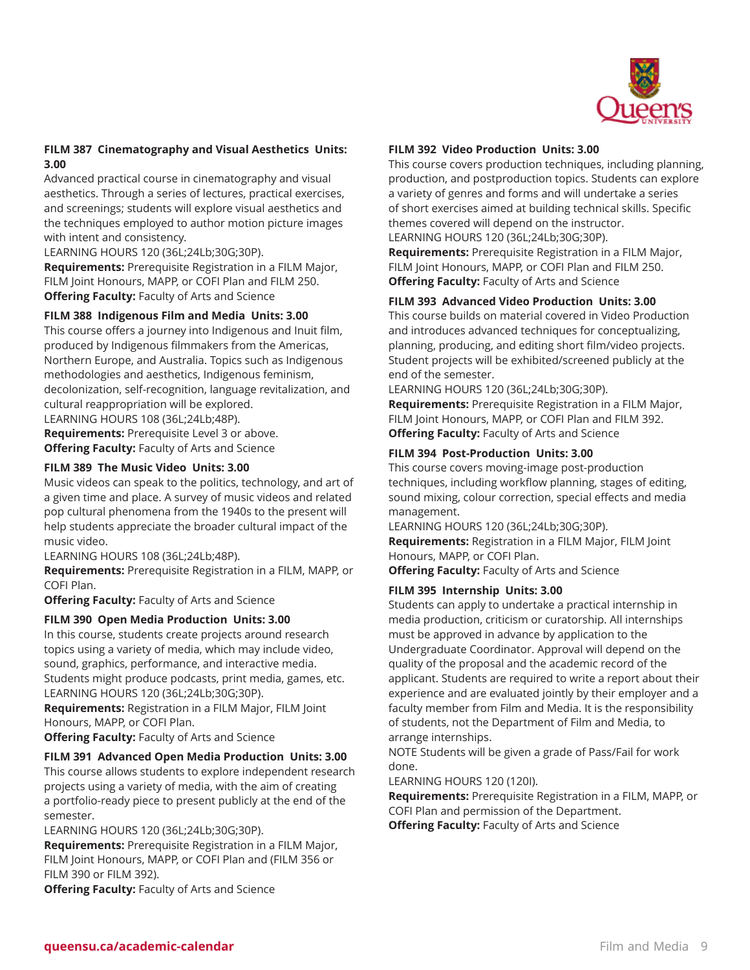

## **FILM 387 Cinematography and Visual Aesthetics Units: 3.00**

Advanced practical course in cinematography and visual aesthetics. Through a series of lectures, practical exercises, and screenings; students will explore visual aesthetics and the techniques employed to author motion picture images with intent and consistency.

LEARNING HOURS 120 (36L;24Lb;30G;30P).

**Requirements:** Prerequisite Registration in a FILM Major, FILM Joint Honours, MAPP, or COFI Plan and FILM 250. **Offering Faculty:** Faculty of Arts and Science

#### **FILM 388 Indigenous Film and Media Units: 3.00**

This course offers a journey into Indigenous and Inuit film, produced by Indigenous filmmakers from the Americas, Northern Europe, and Australia. Topics such as Indigenous methodologies and aesthetics, Indigenous feminism, decolonization, self-recognition, language revitalization, and cultural reappropriation will be explored.

LEARNING HOURS 108 (36L;24Lb;48P).

**Requirements:** Prerequisite Level 3 or above. **Offering Faculty:** Faculty of Arts and Science

#### **FILM 389 The Music Video Units: 3.00**

Music videos can speak to the politics, technology, and art of a given time and place. A survey of music videos and related pop cultural phenomena from the 1940s to the present will help students appreciate the broader cultural impact of the music video.

LEARNING HOURS 108 (36L;24Lb;48P).

**Requirements:** Prerequisite Registration in a FILM, MAPP, or COFI Plan.

**Offering Faculty:** Faculty of Arts and Science

#### **FILM 390 Open Media Production Units: 3.00**

In this course, students create projects around research topics using a variety of media, which may include video, sound, graphics, performance, and interactive media. Students might produce podcasts, print media, games, etc. LEARNING HOURS 120 (36L;24Lb;30G;30P).

**Requirements:** Registration in a FILM Major, FILM Joint Honours, MAPP, or COFI Plan.

**Offering Faculty:** Faculty of Arts and Science

#### **FILM 391 Advanced Open Media Production Units: 3.00**

This course allows students to explore independent research projects using a variety of media, with the aim of creating a portfolio-ready piece to present publicly at the end of the semester.

LEARNING HOURS 120 (36L;24Lb;30G;30P).

**Requirements:** Prerequisite Registration in a FILM Major, FILM Joint Honours, MAPP, or COFI Plan and (FILM 356 or FILM 390 or FILM 392).

**Offering Faculty:** Faculty of Arts and Science

#### **FILM 392 Video Production Units: 3.00**

This course covers production techniques, including planning, production, and postproduction topics. Students can explore a variety of genres and forms and will undertake a series of short exercises aimed at building technical skills. Specific themes covered will depend on the instructor. LEARNING HOURS 120 (36L;24Lb;30G;30P).

**Requirements:** Prerequisite Registration in a FILM Major, FILM Joint Honours, MAPP, or COFI Plan and FILM 250. **Offering Faculty:** Faculty of Arts and Science

#### **FILM 393 Advanced Video Production Units: 3.00**

This course builds on material covered in Video Production and introduces advanced techniques for conceptualizing, planning, producing, and editing short film/video projects. Student projects will be exhibited/screened publicly at the end of the semester.

LEARNING HOURS 120 (36L;24Lb;30G;30P).

**Requirements:** Prerequisite Registration in a FILM Major, FILM Joint Honours, MAPP, or COFI Plan and FILM 392. **Offering Faculty:** Faculty of Arts and Science

#### **FILM 394 Post-Production Units: 3.00**

This course covers moving-image post-production techniques, including workflow planning, stages of editing, sound mixing, colour correction, special effects and media management.

LEARNING HOURS 120 (36L;24Lb;30G;30P). **Requirements:** Registration in a FILM Major, FILM Joint Honours, MAPP, or COFI Plan.

**Offering Faculty:** Faculty of Arts and Science

#### **FILM 395 Internship Units: 3.00**

Students can apply to undertake a practical internship in media production, criticism or curatorship. All internships must be approved in advance by application to the Undergraduate Coordinator. Approval will depend on the quality of the proposal and the academic record of the applicant. Students are required to write a report about their experience and are evaluated jointly by their employer and a faculty member from Film and Media. It is the responsibility of students, not the Department of Film and Media, to arrange internships.

NOTE Students will be given a grade of Pass/Fail for work done.

LEARNING HOURS 120 (120I).

**Requirements:** Prerequisite Registration in a FILM, MAPP, or COFI Plan and permission of the Department.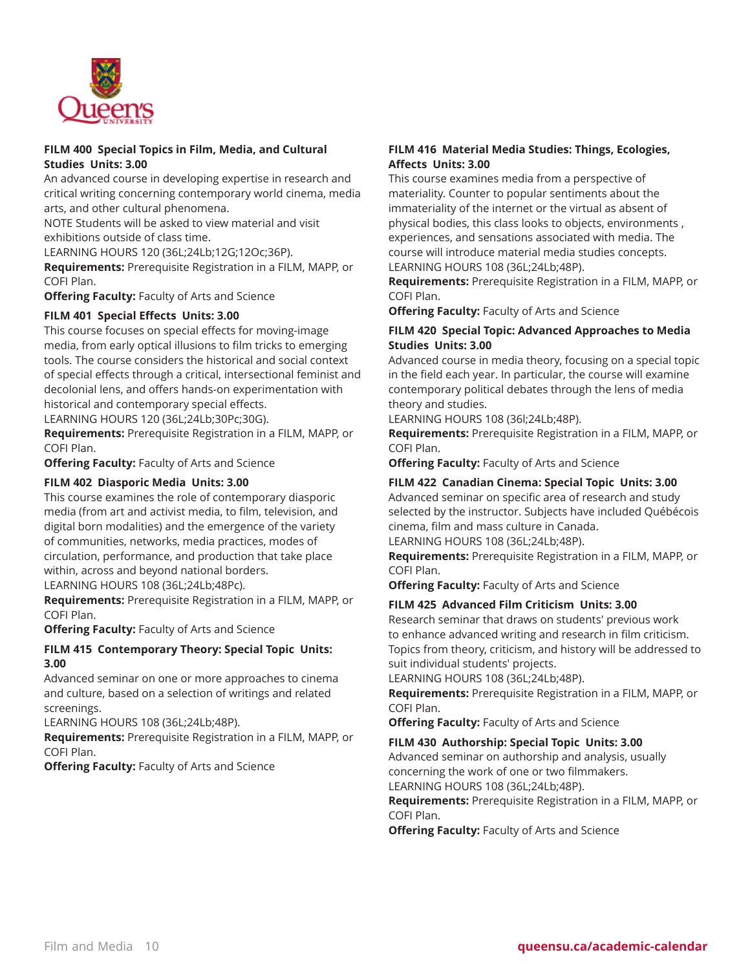

#### **FILM 400 Special Topics in Film, Media, and Cultural Studies Units: 3.00**

An advanced course in developing expertise in research and critical writing concerning contemporary world cinema, media arts, and other cultural phenomena.

NOTE Students will be asked to view material and visit exhibitions outside of class time.

LEARNING HOURS 120 (36L;24Lb;12G;12Oc;36P).

**Requirements:** Prerequisite Registration in a FILM, MAPP, or COFI Plan.

**Offering Faculty:** Faculty of Arts and Science

## **FILM 401 Special Effects Units: 3.00**

This course focuses on special effects for moving-image media, from early optical illusions to film tricks to emerging tools. The course considers the historical and social context of special effects through a critical, intersectional feminist and decolonial lens, and offers hands-on experimentation with historical and contemporary special effects.

LEARNING HOURS 120 (36L;24Lb;30Pc;30G).

**Requirements:** Prerequisite Registration in a FILM, MAPP, or COFI Plan.

**Offering Faculty:** Faculty of Arts and Science

#### **FILM 402 Diasporic Media Units: 3.00**

This course examines the role of contemporary diasporic media (from art and activist media, to film, television, and digital born modalities) and the emergence of the variety of communities, networks, media practices, modes of circulation, performance, and production that take place within, across and beyond national borders.

LEARNING HOURS 108 (36L;24Lb;48Pc).

**Requirements:** Prerequisite Registration in a FILM, MAPP, or COFI Plan.

**Offering Faculty:** Faculty of Arts and Science

#### **FILM 415 Contemporary Theory: Special Topic Units: 3.00**

Advanced seminar on one or more approaches to cinema and culture, based on a selection of writings and related screenings.

LEARNING HOURS 108 (36L;24Lb;48P).

**Requirements:** Prerequisite Registration in a FILM, MAPP, or COFI Plan.

**Offering Faculty:** Faculty of Arts and Science

## **FILM 416 Material Media Studies: Things, Ecologies, Affects Units: 3.00**

This course examines media from a perspective of materiality. Counter to popular sentiments about the immateriality of the internet or the virtual as absent of physical bodies, this class looks to objects, environments , experiences, and sensations associated with media. The course will introduce material media studies concepts. LEARNING HOURS 108 (36L;24Lb;48P).

**Requirements:** Prerequisite Registration in a FILM, MAPP, or COFI Plan.

**Offering Faculty:** Faculty of Arts and Science

## **FILM 420 Special Topic: Advanced Approaches to Media Studies Units: 3.00**

Advanced course in media theory, focusing on a special topic in the field each year. In particular, the course will examine contemporary political debates through the lens of media theory and studies.

LEARNING HOURS 108 (36l;24Lb;48P).

**Requirements:** Prerequisite Registration in a FILM, MAPP, or COFI Plan.

**Offering Faculty:** Faculty of Arts and Science

## **FILM 422 Canadian Cinema: Special Topic Units: 3.00**

Advanced seminar on specific area of research and study selected by the instructor. Subjects have included Québécois cinema, film and mass culture in Canada.

LEARNING HOURS 108 (36L;24Lb;48P).

**Requirements:** Prerequisite Registration in a FILM, MAPP, or COFI Plan.

**Offering Faculty:** Faculty of Arts and Science

#### **FILM 425 Advanced Film Criticism Units: 3.00**

Research seminar that draws on students' previous work to enhance advanced writing and research in film criticism. Topics from theory, criticism, and history will be addressed to suit individual students' projects.

LEARNING HOURS 108 (36L;24Lb;48P).

**Requirements:** Prerequisite Registration in a FILM, MAPP, or COFI Plan.

**Offering Faculty:** Faculty of Arts and Science

#### **FILM 430 Authorship: Special Topic Units: 3.00**

Advanced seminar on authorship and analysis, usually concerning the work of one or two filmmakers. LEARNING HOURS 108 (36L;24Lb;48P).

**Requirements:** Prerequisite Registration in a FILM, MAPP, or COFI Plan.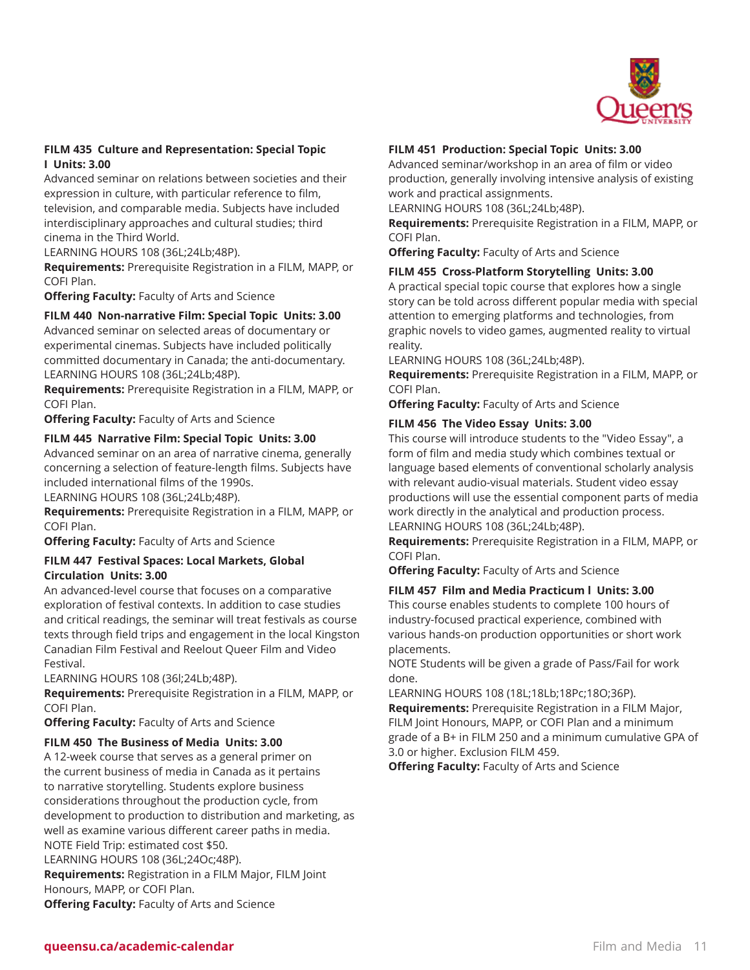

## **FILM 435 Culture and Representation: Special Topic I Units: 3.00**

Advanced seminar on relations between societies and their expression in culture, with particular reference to film, television, and comparable media. Subjects have included interdisciplinary approaches and cultural studies; third cinema in the Third World.

LEARNING HOURS 108 (36L;24Lb;48P).

**Requirements:** Prerequisite Registration in a FILM, MAPP, or COFI Plan.

**Offering Faculty:** Faculty of Arts and Science

#### **FILM 440 Non-narrative Film: Special Topic Units: 3.00**

Advanced seminar on selected areas of documentary or experimental cinemas. Subjects have included politically committed documentary in Canada; the anti-documentary. LEARNING HOURS 108 (36L;24Lb;48P).

**Requirements:** Prerequisite Registration in a FILM, MAPP, or COFI Plan.

**Offering Faculty:** Faculty of Arts and Science

#### **FILM 445 Narrative Film: Special Topic Units: 3.00**

Advanced seminar on an area of narrative cinema, generally concerning a selection of feature-length films. Subjects have included international films of the 1990s.

LEARNING HOURS 108 (36L;24Lb;48P).

**Requirements:** Prerequisite Registration in a FILM, MAPP, or COFI Plan.

**Offering Faculty:** Faculty of Arts and Science

#### **FILM 447 Festival Spaces: Local Markets, Global Circulation Units: 3.00**

An advanced-level course that focuses on a comparative exploration of festival contexts. In addition to case studies and critical readings, the seminar will treat festivals as course texts through field trips and engagement in the local Kingston Canadian Film Festival and Reelout Queer Film and Video Festival.

LEARNING HOURS 108 (36l;24Lb;48P).

**Requirements:** Prerequisite Registration in a FILM, MAPP, or COFI Plan.

**Offering Faculty:** Faculty of Arts and Science

## **FILM 450 The Business of Media Units: 3.00**

A 12-week course that serves as a general primer on the current business of media in Canada as it pertains to narrative storytelling. Students explore business considerations throughout the production cycle, from development to production to distribution and marketing, as well as examine various different career paths in media. NOTE Field Trip: estimated cost \$50. LEARNING HOURS 108 (36L;24Oc;48P). **Requirements:** Registration in a FILM Major, FILM Joint Honours, MAPP, or COFI Plan. **Offering Faculty:** Faculty of Arts and Science

#### **FILM 451 Production: Special Topic Units: 3.00**

Advanced seminar/workshop in an area of film or video production, generally involving intensive analysis of existing work and practical assignments.

LEARNING HOURS 108 (36L;24Lb;48P).

**Requirements:** Prerequisite Registration in a FILM, MAPP, or COFI Plan.

**Offering Faculty:** Faculty of Arts and Science

#### **FILM 455 Cross-Platform Storytelling Units: 3.00**

A practical special topic course that explores how a single story can be told across different popular media with special attention to emerging platforms and technologies, from graphic novels to video games, augmented reality to virtual reality.

LEARNING HOURS 108 (36L;24Lb;48P).

**Requirements:** Prerequisite Registration in a FILM, MAPP, or COFI Plan.

**Offering Faculty:** Faculty of Arts and Science

#### **FILM 456 The Video Essay Units: 3.00**

This course will introduce students to the "Video Essay", a form of film and media study which combines textual or language based elements of conventional scholarly analysis with relevant audio-visual materials. Student video essay productions will use the essential component parts of media work directly in the analytical and production process. LEARNING HOURS 108 (36L;24Lb;48P).

**Requirements:** Prerequisite Registration in a FILM, MAPP, or COFI Plan.

**Offering Faculty:** Faculty of Arts and Science

#### **FILM 457 Film and Media Practicum l Units: 3.00**

This course enables students to complete 100 hours of industry-focused practical experience, combined with various hands-on production opportunities or short work placements.

NOTE Students will be given a grade of Pass/Fail for work done.

LEARNING HOURS 108 (18L;18Lb;18Pc;18O;36P). **Requirements:** Prerequisite Registration in a FILM Major, FILM Joint Honours, MAPP, or COFI Plan and a minimum grade of a B+ in FILM 250 and a minimum cumulative GPA of 3.0 or higher. Exclusion FILM 459.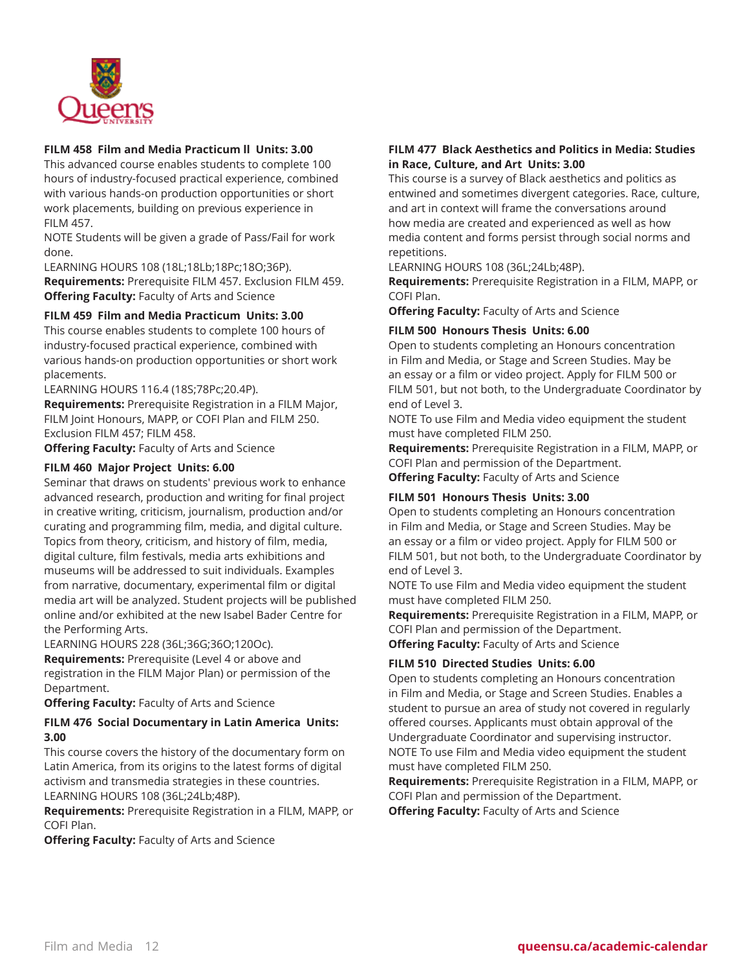

## **FILM 458 Film and Media Practicum ll Units: 3.00**

This advanced course enables students to complete 100 hours of industry-focused practical experience, combined with various hands-on production opportunities or short work placements, building on previous experience in FILM 457.

NOTE Students will be given a grade of Pass/Fail for work done.

LEARNING HOURS 108 (18L;18Lb;18Pc;18O;36P). **Requirements:** Prerequisite FILM 457. Exclusion FILM 459. **Offering Faculty:** Faculty of Arts and Science

#### **FILM 459 Film and Media Practicum Units: 3.00**

This course enables students to complete 100 hours of industry-focused practical experience, combined with various hands-on production opportunities or short work placements.

LEARNING HOURS 116.4 (18S;78Pc;20.4P).

**Requirements:** Prerequisite Registration in a FILM Major, FILM Joint Honours, MAPP, or COFI Plan and FILM 250. Exclusion FILM 457; FILM 458.

**Offering Faculty:** Faculty of Arts and Science

#### **FILM 460 Major Project Units: 6.00**

Seminar that draws on students' previous work to enhance advanced research, production and writing for final project in creative writing, criticism, journalism, production and/or curating and programming film, media, and digital culture. Topics from theory, criticism, and history of film, media, digital culture, film festivals, media arts exhibitions and museums will be addressed to suit individuals. Examples from narrative, documentary, experimental film or digital media art will be analyzed. Student projects will be published online and/or exhibited at the new Isabel Bader Centre for the Performing Arts.

LEARNING HOURS 228 (36L;36G;36O;120Oc).

**Requirements:** Prerequisite (Level 4 or above and registration in the FILM Major Plan) or permission of the Department.

**Offering Faculty:** Faculty of Arts and Science

#### **FILM 476 Social Documentary in Latin America Units: 3.00**

This course covers the history of the documentary form on Latin America, from its origins to the latest forms of digital activism and transmedia strategies in these countries. LEARNING HOURS 108 (36L;24Lb;48P).

**Requirements:** Prerequisite Registration in a FILM, MAPP, or COFI Plan.

**Offering Faculty:** Faculty of Arts and Science

## **FILM 477 Black Aesthetics and Politics in Media: Studies in Race, Culture, and Art Units: 3.00**

This course is a survey of Black aesthetics and politics as entwined and sometimes divergent categories. Race, culture, and art in context will frame the conversations around how media are created and experienced as well as how media content and forms persist through social norms and repetitions.

LEARNING HOURS 108 (36L;24Lb;48P).

**Requirements:** Prerequisite Registration in a FILM, MAPP, or COFI Plan.

**Offering Faculty:** Faculty of Arts and Science

#### **FILM 500 Honours Thesis Units: 6.00**

Open to students completing an Honours concentration in Film and Media, or Stage and Screen Studies. May be an essay or a film or video project. Apply for FILM 500 or FILM 501, but not both, to the Undergraduate Coordinator by end of Level 3.

NOTE To use Film and Media video equipment the student must have completed FILM 250.

**Requirements:** Prerequisite Registration in a FILM, MAPP, or COFI Plan and permission of the Department.

**Offering Faculty:** Faculty of Arts and Science

#### **FILM 501 Honours Thesis Units: 3.00**

Open to students completing an Honours concentration in Film and Media, or Stage and Screen Studies. May be an essay or a film or video project. Apply for FILM 500 or FILM 501, but not both, to the Undergraduate Coordinator by end of Level 3.

NOTE To use Film and Media video equipment the student must have completed FILM 250.

**Requirements:** Prerequisite Registration in a FILM, MAPP, or COFI Plan and permission of the Department. **Offering Faculty:** Faculty of Arts and Science

## **FILM 510 Directed Studies Units: 6.00**

Open to students completing an Honours concentration in Film and Media, or Stage and Screen Studies. Enables a student to pursue an area of study not covered in regularly offered courses. Applicants must obtain approval of the Undergraduate Coordinator and supervising instructor. NOTE To use Film and Media video equipment the student must have completed FILM 250.

**Requirements:** Prerequisite Registration in a FILM, MAPP, or COFI Plan and permission of the Department. **Offering Faculty:** Faculty of Arts and Science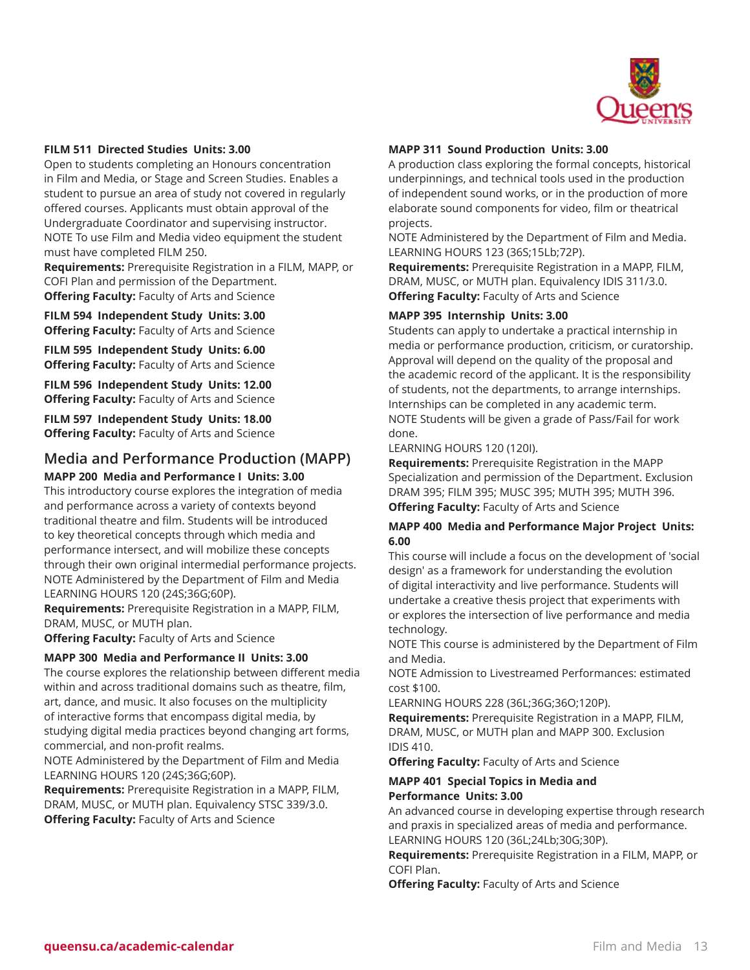

#### **FILM 511 Directed Studies Units: 3.00**

Open to students completing an Honours concentration in Film and Media, or Stage and Screen Studies. Enables a student to pursue an area of study not covered in regularly offered courses. Applicants must obtain approval of the Undergraduate Coordinator and supervising instructor. NOTE To use Film and Media video equipment the student must have completed FILM 250.

**Requirements:** Prerequisite Registration in a FILM, MAPP, or COFI Plan and permission of the Department. **Offering Faculty:** Faculty of Arts and Science

**FILM 594 Independent Study Units: 3.00 Offering Faculty:** Faculty of Arts and Science

**FILM 595 Independent Study Units: 6.00 Offering Faculty:** Faculty of Arts and Science

**FILM 596 Independent Study Units: 12.00 Offering Faculty:** Faculty of Arts and Science

**FILM 597 Independent Study Units: 18.00 Offering Faculty:** Faculty of Arts and Science

## **Media and Performance Production (MAPP) MAPP 200 Media and Performance I Units: 3.00**

This introductory course explores the integration of media and performance across a variety of contexts beyond traditional theatre and film. Students will be introduced to key theoretical concepts through which media and performance intersect, and will mobilize these concepts through their own original intermedial performance projects. NOTE Administered by the Department of Film and Media LEARNING HOURS 120 (24S;36G;60P).

**Requirements:** Prerequisite Registration in a MAPP, FILM, DRAM, MUSC, or MUTH plan.

**Offering Faculty:** Faculty of Arts and Science

#### **MAPP 300 Media and Performance II Units: 3.00**

The course explores the relationship between different media within and across traditional domains such as theatre, film, art, dance, and music. It also focuses on the multiplicity of interactive forms that encompass digital media, by studying digital media practices beyond changing art forms, commercial, and non-profit realms.

NOTE Administered by the Department of Film and Media LEARNING HOURS 120 (24S;36G;60P).

**Requirements:** Prerequisite Registration in a MAPP, FILM, DRAM, MUSC, or MUTH plan. Equivalency STSC 339/3.0. **Offering Faculty:** Faculty of Arts and Science

#### **MAPP 311 Sound Production Units: 3.00**

A production class exploring the formal concepts, historical underpinnings, and technical tools used in the production of independent sound works, or in the production of more elaborate sound components for video, film or theatrical projects.

NOTE Administered by the Department of Film and Media. LEARNING HOURS 123 (36S;15Lb;72P).

**Requirements:** Prerequisite Registration in a MAPP, FILM, DRAM, MUSC, or MUTH plan. Equivalency IDIS 311/3.0. **Offering Faculty:** Faculty of Arts and Science

#### **MAPP 395 Internship Units: 3.00**

Students can apply to undertake a practical internship in media or performance production, criticism, or curatorship. Approval will depend on the quality of the proposal and the academic record of the applicant. It is the responsibility of students, not the departments, to arrange internships. Internships can be completed in any academic term. NOTE Students will be given a grade of Pass/Fail for work done.

LEARNING HOURS 120 (120I).

**Requirements:** Prerequisite Registration in the MAPP Specialization and permission of the Department. Exclusion DRAM 395; FILM 395; MUSC 395; MUTH 395; MUTH 396. **Offering Faculty:** Faculty of Arts and Science

#### **MAPP 400 Media and Performance Major Project Units: 6.00**

This course will include a focus on the development of 'social design' as a framework for understanding the evolution of digital interactivity and live performance. Students will undertake a creative thesis project that experiments with or explores the intersection of live performance and media technology.

NOTE This course is administered by the Department of Film and Media.

NOTE Admission to Livestreamed Performances: estimated cost \$100.

LEARNING HOURS 228 (36L;36G;36O;120P).

**Requirements:** Prerequisite Registration in a MAPP, FILM, DRAM, MUSC, or MUTH plan and MAPP 300. Exclusion IDIS 410.

**Offering Faculty:** Faculty of Arts and Science

## **MAPP 401 Special Topics in Media and Performance Units: 3.00**

An advanced course in developing expertise through research and praxis in specialized areas of media and performance. LEARNING HOURS 120 (36L;24Lb;30G;30P).

**Requirements:** Prerequisite Registration in a FILM, MAPP, or COFI Plan.